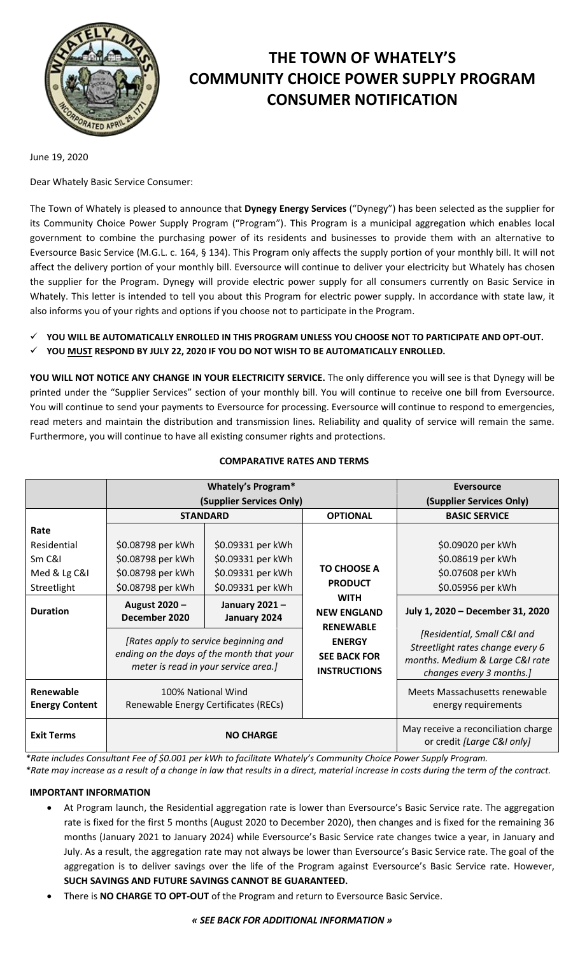

# **THE TOWN OF WHATELY'S COMMUNITY CHOICE POWER SUPPLY PROGRAM CONSUMER NOTIFICATION**

June 19, 2020

Dear Whately Basic Service Consumer:

The Town of Whately is pleased to announce that **Dynegy Energy Services** ("Dynegy") has been selected as the supplier for its Community Choice Power Supply Program ("Program"). This Program is a municipal aggregation which enables local government to combine the purchasing power of its residents and businesses to provide them with an alternative to Eversource Basic Service (M.G.L. c. 164, § 134). This Program only affects the supply portion of your monthly bill. It will not affect the delivery portion of your monthly bill. Eversource will continue to deliver your electricity but Whately has chosen the supplier for the Program. Dynegy will provide electric power supply for all consumers currently on Basic Service in Whately. This letter is intended to tell you about this Program for electric power supply. In accordance with state law, it also informs you of your rights and options if you choose not to participate in the Program.

- **YOU WILL BE AUTOMATICALLY ENROLLED IN THIS PROGRAM UNLESS YOU CHOOSE NOT TO PARTICIPATE AND OPT-OUT.**
- **YOU MUST RESPOND BY JULY 22, 2020 IF YOU DO NOT WISH TO BE AUTOMATICALLY ENROLLED.**

**YOU WILL NOT NOTICE ANY CHANGE IN YOUR ELECTRICITY SERVICE.** The only difference you will see is that Dynegy will be printed under the "Supplier Services" section of your monthly bill. You will continue to receive one bill from Eversource. You will continue to send your payments to Eversource for processing. Eversource will continue to respond to emergencies, read meters and maintain the distribution and transmission lines. Reliability and quality of service will remain the same. Furthermore, you will continue to have all existing consumer rights and protections.

|                                    | <b>Whately's Program*</b>                                                                                                  |                               |                                                             | Eversource                                                                                                                     |
|------------------------------------|----------------------------------------------------------------------------------------------------------------------------|-------------------------------|-------------------------------------------------------------|--------------------------------------------------------------------------------------------------------------------------------|
|                                    | (Supplier Services Only)                                                                                                   |                               |                                                             | (Supplier Services Only)                                                                                                       |
|                                    | <b>STANDARD</b>                                                                                                            |                               | <b>OPTIONAL</b>                                             | <b>BASIC SERVICE</b>                                                                                                           |
| Rate                               |                                                                                                                            |                               |                                                             |                                                                                                                                |
| Residential                        | \$0.08798 per kWh                                                                                                          | \$0.09331 per kWh             |                                                             | \$0.09020 per kWh                                                                                                              |
| Sm C&I                             | \$0.08798 per kWh                                                                                                          | \$0.09331 per kWh             | <b>TO CHOOSE A</b><br><b>PRODUCT</b>                        | \$0.08619 per kWh                                                                                                              |
| Med & Lg C&I                       | \$0.08798 per kWh                                                                                                          | \$0.09331 per kWh             |                                                             | \$0.07608 per kWh                                                                                                              |
| Streetlight                        | \$0.08798 per kWh                                                                                                          | \$0.09331 per kWh             |                                                             | \$0.05956 per kWh                                                                                                              |
| <b>Duration</b>                    | August 2020 -<br>December 2020                                                                                             | January 2021-<br>January 2024 | <b>WITH</b><br><b>NEW ENGLAND</b><br><b>RENEWABLE</b>       | July 1, 2020 - December 31, 2020                                                                                               |
|                                    | [Rates apply to service beginning and<br>ending on the days of the month that your<br>meter is read in your service area.] |                               | <b>ENERGY</b><br><b>SEE BACK FOR</b><br><b>INSTRUCTIONS</b> | [Residential, Small C&I and<br>Streetlight rates change every 6<br>months. Medium & Large C&I rate<br>changes every 3 months.] |
| Renewable<br><b>Energy Content</b> | 100% National Wind<br>Renewable Energy Certificates (RECs)                                                                 |                               |                                                             | Meets Massachusetts renewable<br>energy requirements                                                                           |
| <b>Exit Terms</b>                  | <b>NO CHARGE</b>                                                                                                           |                               |                                                             | May receive a reconciliation charge<br>or credit [Large C&I only]                                                              |

# **COMPARATIVE RATES AND TERMS**

*\*Rate includes Consultant Fee of \$0.001 per kWh to facilitate Whately's Community Choice Power Supply Program.*

*\*Rate may increase as a result of a change in law that results in a direct, material increase in costs during the term of the contract.*

# **IMPORTANT INFORMATION**

- At Program launch, the Residential aggregation rate is lower than Eversource's Basic Service rate. The aggregation rate is fixed for the first 5 months (August 2020 to December 2020), then changes and is fixed for the remaining 36 months (January 2021 to January 2024) while Eversource's Basic Service rate changes twice a year, in January and July. As a result, the aggregation rate may not always be lower than Eversource's Basic Service rate. The goal of the aggregation is to deliver savings over the life of the Program against Eversource's Basic Service rate. However, **SUCH SAVINGS AND FUTURE SAVINGS CANNOT BE GUARANTEED.**
- There is **NO CHARGE TO OPT-OUT** of the Program and return to Eversource Basic Service.